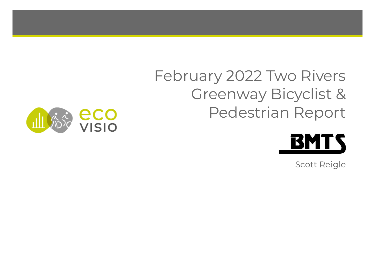# February 2022 Two Rivers Greenway Bicyclist & Pedestrian Report





Scott Reigle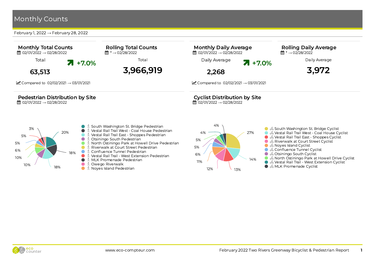February 1, 2022  $\rightarrow$  February 28, 2022





27% 14%  $12\%$   $\frac{1}{3\%}$ 11% 6% 5% 5% 4% ● % South Washington St. Bridge Cyclist ● % Vestal Rail Trail West - Coal House Cyclist ● % Vestal Rail Trail East - Shoppes Cyclist  $\bullet$   $\delta$  Riverwalk at Court Street Cyclist ● % Noyes Island Cyclist ● % Confluence Tunnel Cyclist ● % Otsiningo South Cyclist ● % North Ostiningo Park at Howell Drive Cyclist ● % Vestal Rail Trail - West Extension Cyclist ● % MLK Promenade Cyclist

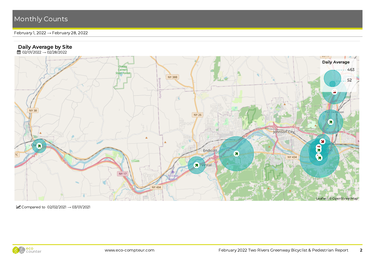February 1, 2022 → February 28, 2022

#### Daily Average by Site

**曲** 02/01/2022 → 02/28/2022



Compared to  $02/02/2021 \rightarrow 03/01/2021$ 

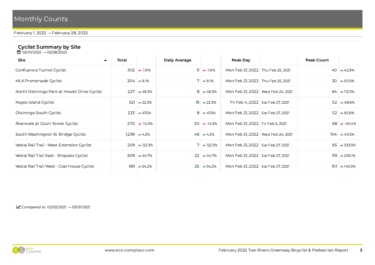February 1, 2022 → February 28, 2022

#### Cyclist Summary by Site

**曲** 02/01/2022 → 02/28/2022

| Total<br>$\blacktriangle$ |                                              | Daily Average                                                                                                                                                                                        |                 | Peak Day                                                                                                                                                                                             |  | Peak Count                                                                                                                                                                                                                                                                                                                                                                                 |                       |  |
|---------------------------|----------------------------------------------|------------------------------------------------------------------------------------------------------------------------------------------------------------------------------------------------------|-----------------|------------------------------------------------------------------------------------------------------------------------------------------------------------------------------------------------------|--|--------------------------------------------------------------------------------------------------------------------------------------------------------------------------------------------------------------------------------------------------------------------------------------------------------------------------------------------------------------------------------------------|-----------------------|--|
|                           |                                              |                                                                                                                                                                                                      |                 |                                                                                                                                                                                                      |  |                                                                                                                                                                                                                                                                                                                                                                                            | 40 $\triangle 42.9\%$ |  |
|                           |                                              |                                                                                                                                                                                                      |                 |                                                                                                                                                                                                      |  |                                                                                                                                                                                                                                                                                                                                                                                            | $30 \times 50.0\%$    |  |
|                           |                                              |                                                                                                                                                                                                      |                 |                                                                                                                                                                                                      |  |                                                                                                                                                                                                                                                                                                                                                                                            | $64 \times 113.3\%$   |  |
|                           | $\triangle 22.3\%$                           |                                                                                                                                                                                                      | $\lambda$ 22.3% |                                                                                                                                                                                                      |  |                                                                                                                                                                                                                                                                                                                                                                                            | 52 $\sim$ 48.6%       |  |
|                           |                                              |                                                                                                                                                                                                      |                 |                                                                                                                                                                                                      |  |                                                                                                                                                                                                                                                                                                                                                                                            | 52 $\sim$ 92.6%       |  |
|                           |                                              |                                                                                                                                                                                                      |                 |                                                                                                                                                                                                      |  |                                                                                                                                                                                                                                                                                                                                                                                            | 68 $\bullet$ -40.4%   |  |
|                           |                                              |                                                                                                                                                                                                      |                 |                                                                                                                                                                                                      |  |                                                                                                                                                                                                                                                                                                                                                                                            | $104 \times 40.5\%$   |  |
|                           |                                              |                                                                                                                                                                                                      |                 |                                                                                                                                                                                                      |  |                                                                                                                                                                                                                                                                                                                                                                                            | $65 \times 333.3\%$   |  |
|                           |                                              |                                                                                                                                                                                                      |                 |                                                                                                                                                                                                      |  |                                                                                                                                                                                                                                                                                                                                                                                            | $119 \times 205.1\%$  |  |
|                           | $\sim 54.2\%$                                |                                                                                                                                                                                                      |                 |                                                                                                                                                                                                      |  |                                                                                                                                                                                                                                                                                                                                                                                            | $101 \times 140.5\%$  |  |
|                           | North Ostiningo Park at Howell Drive Cyclist | $302 \times 1.9\%$<br>$204 \times 9.1\%$<br>$227 \times 49.3\%$<br>521<br>$233 \times 47.5\%$<br>$570 \, \text{V}$ -14.3%<br>$1,299$ $\sim$ 4.2%<br>$209 \times 122.3\%$<br>609 $\star$ 44.7%<br>691 |                 | $11 \times -1.9\%$<br>$7 \times 9.1\%$<br>$8 \times 49.3\%$<br>19<br>$8 \times 47.5\%$<br>$20 \times -14.3\%$<br>$46 \times 4.2\%$<br>$7 \times 122.3\%$<br>$22 \times 44.7\%$<br>$25 \times 54.2\%$ |  | Mon Feb 21, 2022 Thu Feb 25, 2021<br>Mon Feb 21, 2022 Thu Feb 25, 2021<br>Mon Feb 21, 2022   Wed Feb 24, 2021<br>Fri Feb 4, 2022   Sat Feb 27, 2021<br>Mon Feb 21, 2022   Sat Feb 27, 2021<br>Mon Feb 21, 2022   Fri Feb 5, 2021<br>Mon Feb 21, 2022 Wed Feb 24, 2021<br>Mon Feb 21, 2022   Sat Feb 27, 2021<br>Mon Feb 21, 2022   Sat Feb 27, 2021<br>Mon Feb 21, 2022   Sat Feb 27, 2021 |                       |  |

 $\triangleright$  Compared to 02/02/2021  $\rightarrow$  03/01/2021

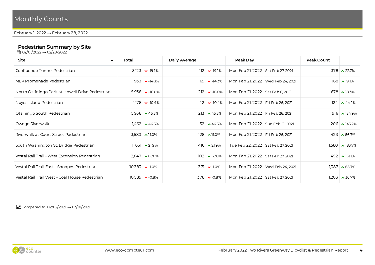February 1, 2022 → February 28, 2022

#### Pedestrian Summary by Site

**曲** 02/01/2022 → 02/28/2022

| <b>Site</b><br>$\blacktriangle$                 | Total |                                 | Daily Average |                               | Peak Day                            | <b>Peak Count</b> |                             |
|-------------------------------------------------|-------|---------------------------------|---------------|-------------------------------|-------------------------------------|-------------------|-----------------------------|
| Confluence Tunnel Pedestrian                    |       | $3,123$ $\triangleright$ -19.1% |               | $112$ $\triangleright$ -19.1% | Mon Feb 21, 2022   Sat Feb 27, 2021 |                   | $378 \times 22.7\%$         |
| MLK Promenade Pedestrian                        |       | $1,933$ $\vee$ -14.3%           |               | 69 $\bullet$ -14.3%           | Mon Feb 21, 2022   Wed Feb 24, 2021 |                   | $168 \sim 19.1\%$           |
| North Ostiningo Park at Howell Drive Pedestrian |       | $5,938$ $\triangleright$ -16.0% |               | $212$ $\triangleright$ -16.0% | Mon Feb 21, 2022   Sat Feb 6, 2021  |                   | 678 $\sim$ 18.3%            |
| Noves Island Pedestrian                         |       | $1,178$ $\bullet$ -10.4%        |               | 42 $\bullet$ -10.4%           | Mon Feb 21, 2022   Fri Feb 26, 2021 |                   | $124 \times 44.2\%$         |
| Otsiningo South Pedestrian                      |       | 5,958 $\sim$ 45.5%              |               | 213 $\sim$ 45.5%              | Mon Feb 21, 2022   Fri Feb 26, 2021 |                   | $916 \times 134.9\%$        |
| Owego Riverwalk                                 |       | $1,462$ $\sim$ 46.5%            |               | 52 $\sim$ 46.5%               | Mon Feb 21, 2022 Sun Feb 21, 2021   |                   | $206$ $\triangle$ 145.2%    |
| Riverwalk at Court Street Pedestrian            |       | $3,580$ $\sim$ 11.0%            |               | $128 \sim 11.0\%$             | Mon Feb 21, 2022   Fri Feb 26, 2021 |                   | 423 $\sim$ 56.7%            |
| South Washington St. Bridge Pedestrian          |       | $11,661$ $\sim$ 21.9%           |               | 416 $\sim$ 21.9%              | Tue Feb 22, 2022   Sat Feb 27, 2021 |                   | $1,580$ $\lambda$ 183.7%    |
| Vestal Rail Trail - West Extension Pedestrian   |       | $2,843$ $\triangle 67.8\%$      |               | $102 \times 67.8\%$           | Mon Feb 21, 2022 Sat Feb 27, 2021   |                   | 452 $\sim$ 151.1%           |
| Vestal Rail Trail East - Shoppes Pedestrian     |       | $10,383$ $\triangleright$ -1.0% |               | $371 \times -10\%$            | Mon Feb 21, 2022   Wed Feb 24, 2021 |                   | $1,387$ $\rightarrow$ 65.7% |
| Vestal Rail Trail West - Coal House Pedestrian  |       | $10,589$ $\bullet$ -0.8%        |               | $378 \times -0.8\%$           | Mon Feb 21, 2022   Sat Feb 27, 2021 |                   | $1,203$ $\rightarrow$ 36.7% |

 $\triangleright$  Compared to 02/02/2021  $\rightarrow$  03/01/2021

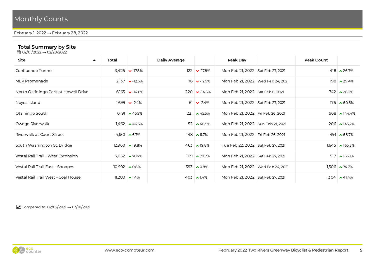#### February 1, 2022 → February 28, 2022

#### Total Summary by Site

**曲** 02/01/2022 → 02/28/2022

| Site<br>$\blacktriangle$             | Total |                                 | Daily Average |                               | Peak Day                            |  | Peak Count |                          |  |
|--------------------------------------|-------|---------------------------------|---------------|-------------------------------|-------------------------------------|--|------------|--------------------------|--|
| Confluence Tunnel                    |       | $3,425$ $\triangleright$ -17.8% |               | $122$ $\triangleright$ -17.8% | Mon Feb 21, 2022 Sat Feb 27, 2021   |  |            | 418 $\lambda$ 26.7%      |  |
| MLK Promenade                        |       | $2,137$ $\triangleright$ -12.5% |               | $76 \times -12.5\%$           | Mon Feb 21, 2022   Wed Feb 24, 2021 |  |            | 198 $\sim$ 29.4%         |  |
| North Ostiningo Park at Howell Drive |       | 6, 165 $\triangleright$ -14.6%  |               | $220 \times -14.6\%$          | Mon Feb 21, 2022   Sat Feb 6, 2021  |  |            | $742 \times 28.2\%$      |  |
| Noyes Island                         |       | $1,699$ $\bullet$ -2.4%         |               | $61 \times -2.4\%$            | Mon Feb 21, 2022 Sat Feb 27, 2021   |  |            | $175 \times 60.6\%$      |  |
| Otsiningo South                      |       | 6, 191 $\sim$ 45.5%             |               | 221 $\sim$ 45.5%              | Mon Feb 21, 2022   Fri Feb 26, 2021 |  |            | $968 \times 144.4\%$     |  |
| Owego Riverwalk                      |       | $1,462$ $\rightarrow$ 46.5%     |               | 52 $\sim$ 46.5%               | Mon Feb 21, 2022 Sun Feb 21, 2021   |  |            | $206 \times 145.2\%$     |  |
| Riverwalk at Court Street            |       | 4, 30 $\bullet$ 6.7%            |               | $148 \times 6.7\%$            | Mon Feb 21, 2022   Fri Feb 26, 2021 |  |            | 491 $\triangle$ 68.7%    |  |
| South Washington St. Bridge          |       | $12,960$ $\sim$ 19.8%           |               | $463 \times 19.8\%$           | Tue Feb 22, 2022 Sat Feb 27, 2021   |  |            | $1,645$ $\lambda$ 165.3% |  |
| Vestal Rail Trail - West Extension   |       | $3,052$ $\rightarrow$ 70.7%     |               | 109 $\sim$ 70.7%              | Mon Feb 21, 2022   Sat Feb 27, 2021 |  |            | 517 $\sim$ 165.1%        |  |
| Vestal Rail Trail East - Shoppes     |       | $10,992$ $\sim 0.8\%$           |               | 393 $\sim 0.8\%$              | Mon Feb 21, 2022   Wed Feb 24, 2021 |  |            | $1,506$ $\lambda$ 74.7%  |  |
| Vestal Rail Trail West - Coal House  |       | 11,280 $\sim$ 1.4%              |               | 403 $\lambda$ 1.4%            | Mon Feb 21, 2022   Sat Feb 27, 2021 |  |            | $1,304$ $\sim$ 41.4%     |  |
|                                      |       |                                 |               |                               |                                     |  |            |                          |  |

 $\triangleright$  Compared to 02/02/2021  $\rightarrow$  03/01/2021